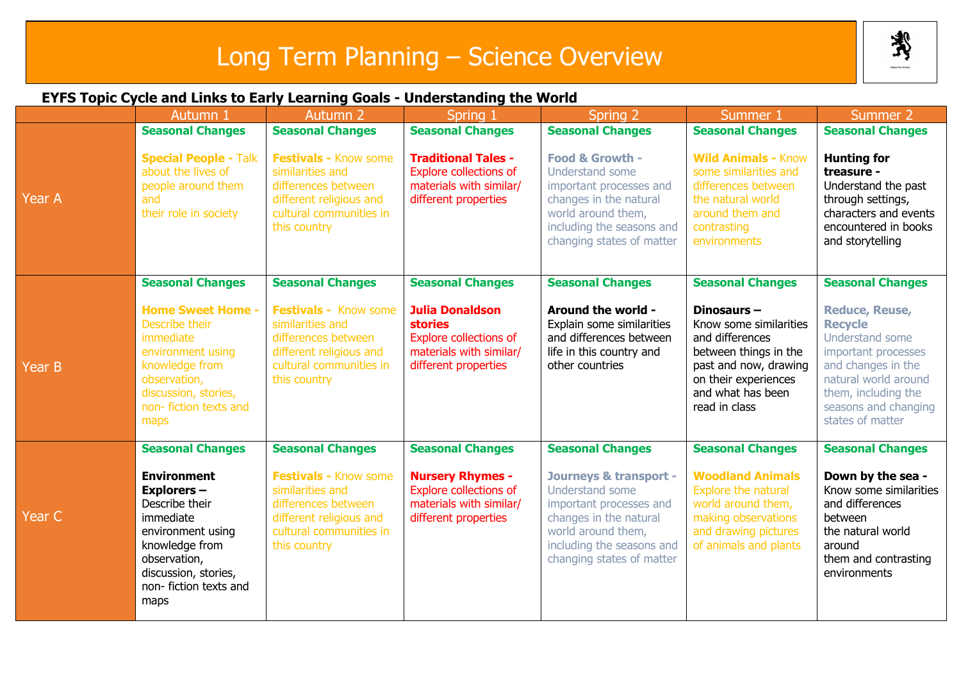## Long Term Planning – Science Overview

类

## **EYFS Topic Cycle and Links to Early Learning Goals - Understanding the World**

|        | Autumn 1                                                                                                                                                                                | <b>Autumn 2</b>                                                                                                                               | Spring 1                                                                                                                     | Spring 2                                                                                                                                                                                  | Summer 1                                                                                                                                                                   | Summer 2                                                                                                                                                                                           |
|--------|-----------------------------------------------------------------------------------------------------------------------------------------------------------------------------------------|-----------------------------------------------------------------------------------------------------------------------------------------------|------------------------------------------------------------------------------------------------------------------------------|-------------------------------------------------------------------------------------------------------------------------------------------------------------------------------------------|----------------------------------------------------------------------------------------------------------------------------------------------------------------------------|----------------------------------------------------------------------------------------------------------------------------------------------------------------------------------------------------|
|        | <b>Seasonal Changes</b>                                                                                                                                                                 | <b>Seasonal Changes</b>                                                                                                                       | <b>Seasonal Changes</b>                                                                                                      | <b>Seasonal Changes</b>                                                                                                                                                                   | <b>Seasonal Changes</b>                                                                                                                                                    | <b>Seasonal Changes</b>                                                                                                                                                                            |
| Year A | <b>Special People - Talk</b><br>about the lives of<br>people around them<br>and<br>their role in society                                                                                | Festivals - Know some<br>similarities and<br>differences between<br>different religious and<br>cultural communities in<br>this country        | <b>Traditional Tales -</b><br><b>Explore collections of</b><br>materials with similar/<br>different properties               | Food & Growth -<br>Understand some<br>important processes and<br>changes in the natural<br>world around them,<br>including the seasons and<br>changing states of matter                   | <b>Wild Animals - Know</b><br>some similarities and<br>differences between<br>the natural world<br>around them and<br>contrasting<br>environments                          | <b>Hunting for</b><br>treasure -<br>Understand the past<br>through settings,<br>characters and events<br>encountered in books<br>and storytelling                                                  |
|        | <b>Seasonal Changes</b>                                                                                                                                                                 | <b>Seasonal Changes</b>                                                                                                                       | <b>Seasonal Changes</b>                                                                                                      | <b>Seasonal Changes</b>                                                                                                                                                                   | <b>Seasonal Changes</b>                                                                                                                                                    | <b>Seasonal Changes</b>                                                                                                                                                                            |
| Year B | <b>Home Sweet Home -</b><br>Describe their<br>immediate<br>environment using<br>knowledge from<br>observation,<br>discussion, stories,<br>non- fiction texts and<br>maps                | Festivals - Know some<br>similarities and<br>differences between<br>different religious and<br>cultural communities in<br>this country        | <b>Julia Donaldson</b><br><b>stories</b><br><b>Explore collections of</b><br>materials with similar/<br>different properties | Around the world -<br>Explain some similarities<br>and differences between<br>life in this country and<br>other countries                                                                 | Dinosaurs $-$<br>Know some similarities<br>and differences<br>between things in the<br>past and now, drawing<br>on their experiences<br>and what has been<br>read in class | <b>Reduce, Reuse,</b><br><b>Recycle</b><br>Understand some<br>important processes<br>and changes in the<br>natural world around<br>them, including the<br>seasons and changing<br>states of matter |
|        | <b>Seasonal Changes</b>                                                                                                                                                                 | <b>Seasonal Changes</b>                                                                                                                       | <b>Seasonal Changes</b>                                                                                                      | <b>Seasonal Changes</b>                                                                                                                                                                   | <b>Seasonal Changes</b>                                                                                                                                                    | <b>Seasonal Changes</b>                                                                                                                                                                            |
| Year C | <b>Environment</b><br><b>Explorers-</b><br>Describe their<br>immediate<br>environment using<br>knowledge from<br>observation,<br>discussion, stories,<br>non- fiction texts and<br>maps | <b>Festivals - Know some</b><br>similarities and<br>differences between<br>different religious and<br>cultural communities in<br>this country | <b>Nursery Rhymes -</b><br><b>Explore collections of</b><br>materials with similar/<br>different properties                  | <b>Journeys &amp; transport -</b><br>Understand some<br>important processes and<br>changes in the natural<br>world around them,<br>including the seasons and<br>changing states of matter | <b>Woodland Animals</b><br>Explore the natural<br>world around them,<br>making observations<br>and drawing pictures<br>of animals and plants                               | Down by the sea -<br>Know some similarities<br>and differences<br>between<br>the natural world<br>around<br>them and contrasting<br>environments                                                   |